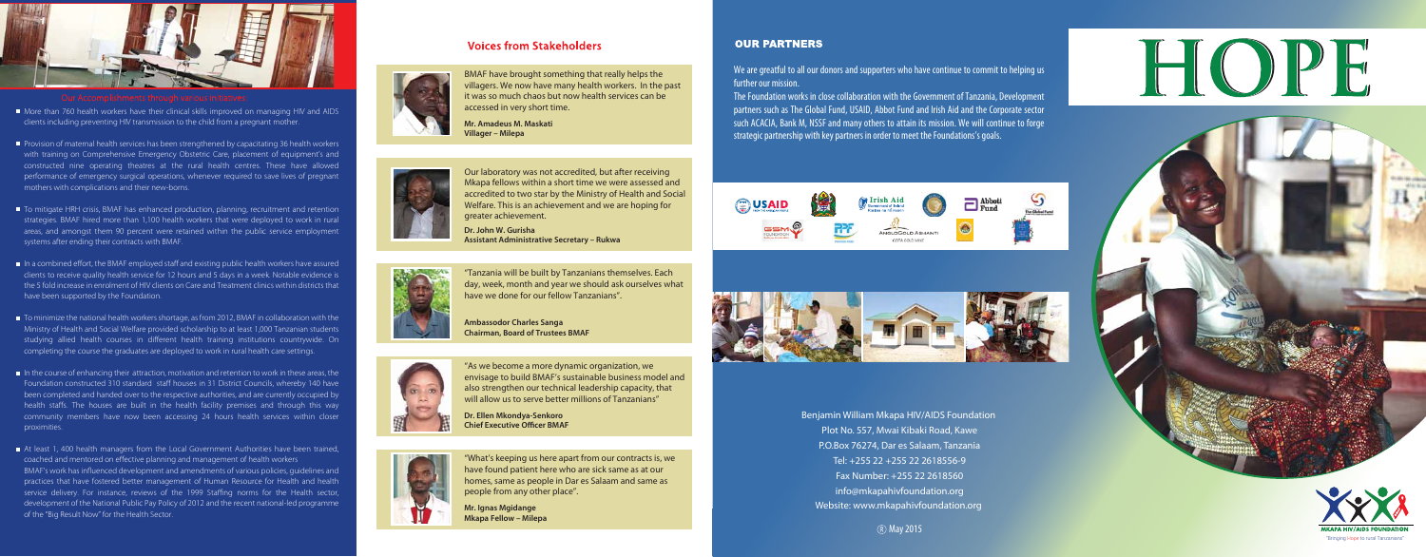"What's keeping us here apart from our contracts is, we have found patient here who are sick same as at our homes, same as people in Dar es Salaam and same as people from any other place".



More than 760 health workers have their clinical skills improved on managing HIV and AIDS clients including preventing HIV transmission to the child from a pregnant mother.

> "As we become a more dynamic organization, we envisage to build BMAF's sustainable business model and also strengthen our technical leadership capacity, that will allow us to serve better millions of Tanzanians"

**Dr. Ellen Mkondya-Senkoro Chief Executive Officer BMAF** 



- Provision of maternal health services has been strengthened by capacitating 36 health workers with training on Comprehensive Emergency Obstetric Care, placement of equipment's and constructed nine operating theatres at the rural health centres. These have allowed performance of emergency surgical operations, whenever required to save lives of pregnant mothers with complications and their new-borns.
- To mitigate HRH crisis, BMAF has enhanced production, planning, recruitment and retention strategies. BMAF hired more than 1,100 health workers that were deployed to work in rural areas, and amongst them 90 percent were retained within the public service employment systems after ending their contracts with BMAF.
- In a combined effort, the BMAF employed staff and existing public health workers have assured clients to receive quality health service for 12 hours and 5 days in a week. Notable evidence is the 5 fold increase in enrolment of HIV clients on Care and Treatment clinics within districts that have been supported by the Foundation.
- To minimize the national health workers shortage, as from 2012, BMAF in collaboration with the Ministry of Health and Social Welfare provided scholarship to at least 1,000 Tanzanian students studying allied health courses in different health training institutions countrywide. On completing the course the graduates are deployed to work in rural health care settings.
- $\blacksquare$  In the course of enhancing their attraction, motivation and retention to work in these areas, the Foundation constructed 310 standard staff houses in 31 District Councils, whereby 140 have been completed and handed over to the respective authorities, and are currently occupied by health staffs. The houses are built in the health facility premises and through this way community members have now been accessing 24 hours health services within closer proximities.
- At least 1, 400 health managers from the Local Government Authorities have been trained, coached and mentored on effective planning and management of health workers BMAF's work has influenced development and amendments of various policies, guidelines and practices that have fostered better management of Human Resource for Health and health service delivery. For instance, reviews of the 1999 Staffing norms for the Health sector, development of the National Public Pay Policy of 2012 and the recent national-led programme of the "Big Result Now" for the Health Sector. **Mr. Ignas Mgidange**

# **Voices from Stakeholders**



**Mkapa Fellow – Milepa**





## **OUR PARTNERS**

"Bringing Hope to rural Tanzanians"

(R) May 2015



"Tanzania will be built by Tanzanians themselves. Each day, week, month and year we should ask ourselves what have we done for our fellow Tanzanians".

**Ambassodor Charles Sanga Chairman, Board of Trustees BMAF**



Our laboratory was not accredited, but after receiving Mkapa fellows within a short time we were assessed and accredited to two star by the Ministry of Health and Social Welfare. This is an achievement and we are hoping for greater achievement.

**Dr. John W. Gurisha Assistant Administrative Secretary – Rukwa**

BMAF have brought something that really helps the villagers. We now have many health workers. In the past it was so much chaos but now health services can be accessed in very short time.

**Mr. Amadeus M. Maskati Villager – Milepa** 



Benjamin William Mkapa HIV/AIDS Foundation Plot No. 557, Mwai Kibaki Road, Kawe P.O.Box 76274, Dar es Salaam, Tanzania Tel: +255 22 +255 22 2618556-9 Fax Number: +255 22 2618560 info@mkapahivfoundation.org Website: www.mkapahivfoundation.org

We are greatful to all our donors and supporters who have continue to commit to helping us further our mission.

The Foundation works in close collaboration with the Government of Tanzania, Development partners such as The Global Fund, USAID, Abbot Fund and Irish Aid and the Corporate sector such ACACIA, Bank M, NSSF and many others to attain its mission. We will continue to forge strategic partnership with key partners in order to meet the Foundations's goals.